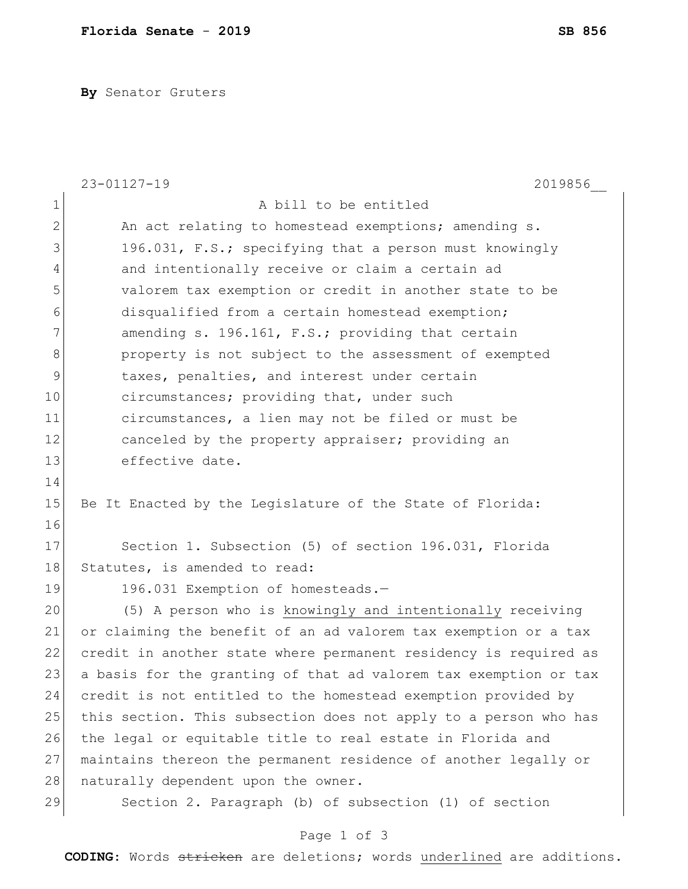**By** Senator Gruters

|                | $23 - 01127 - 19$<br>2019856                                     |
|----------------|------------------------------------------------------------------|
| $\mathbf 1$    | A bill to be entitled                                            |
| $\overline{2}$ | An act relating to homestead exemptions; amending s.             |
| 3              | 196.031, F.S.; specifying that a person must knowingly           |
| $\overline{4}$ | and intentionally receive or claim a certain ad                  |
| 5              | valorem tax exemption or credit in another state to be           |
| 6              | disqualified from a certain homestead exemption;                 |
| 7              | amending s. 196.161, F.S.; providing that certain                |
| $\,8\,$        | property is not subject to the assessment of exempted            |
| $\mathsf 9$    | taxes, penalties, and interest under certain                     |
| 10             | circumstances; providing that, under such                        |
| 11             | circumstances, a lien may not be filed or must be                |
| 12             | canceled by the property appraiser; providing an                 |
| 13             | effective date.                                                  |
| 14             |                                                                  |
| 15             | Be It Enacted by the Legislature of the State of Florida:        |
| 16             |                                                                  |
| 17             | Section 1. Subsection (5) of section 196.031, Florida            |
| 18             | Statutes, is amended to read:                                    |
| 19             | 196.031 Exemption of homesteads.-                                |
| 20             | (5) A person who is knowingly and intentionally receiving        |
| 21             | or claiming the benefit of an ad valorem tax exemption or a tax  |
| 22             | credit in another state where permanent residency is required as |
| 23             | a basis for the granting of that ad valorem tax exemption or tax |
| 24             | credit is not entitled to the homestead exemption provided by    |
| 25             | this section. This subsection does not apply to a person who has |
| 26             | the legal or equitable title to real estate in Florida and       |
| 27             | maintains thereon the permanent residence of another legally or  |
| 28             | naturally dependent upon the owner.                              |
| 29             | Section 2. Paragraph (b) of subsection (1) of section            |

## Page 1 of 3

**CODING**: Words stricken are deletions; words underlined are additions.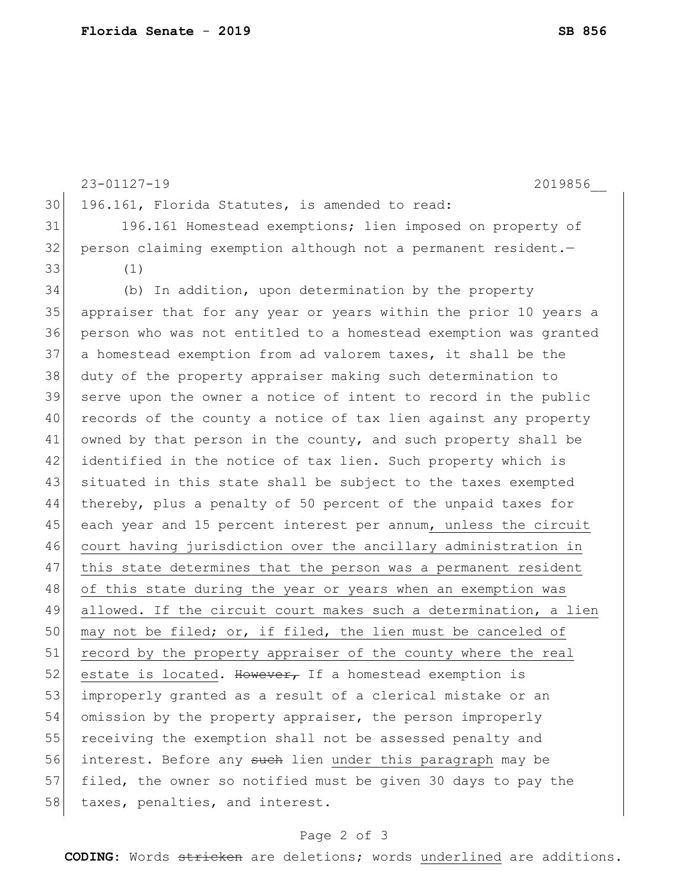23-01127-19 2019856\_\_ 30 196.161, Florida Statutes, is amended to read: 31 196.161 Homestead exemptions; lien imposed on property of 32 person claiming exemption although not a permanent resident. 33 (1) 34 (b) In addition, upon determination by the property 35 appraiser that for any year or years within the prior 10 years a 36 person who was not entitled to a homestead exemption was granted 37 a homestead exemption from ad valorem taxes, it shall be the 38 duty of the property appraiser making such determination to 39 serve upon the owner a notice of intent to record in the public 40 records of the county a notice of tax lien against any property 41 owned by that person in the county, and such property shall be 42 identified in the notice of tax lien. Such property which is 43 situated in this state shall be subject to the taxes exempted 44 thereby, plus a penalty of 50 percent of the unpaid taxes for 45 each year and 15 percent interest per annum, unless the circuit 46 court having jurisdiction over the ancillary administration in 47 this state determines that the person was a permanent resident 48| of this state during the year or years when an exemption was 49 allowed. If the circuit court makes such a determination, a lien 50 may not be filed; or, if filed, the lien must be canceled of 51 record by the property appraiser of the county where the real 52 estate is located. However, If a homestead exemption is 53 improperly granted as a result of a clerical mistake or an 54 omission by the property appraiser, the person improperly 55 receiving the exemption shall not be assessed penalty and 56 interest. Before any such lien under this paragraph may be 57 filed, the owner so notified must be given 30 days to pay the 58 taxes, penalties, and interest.

## Page 2 of 3

**CODING**: Words stricken are deletions; words underlined are additions.